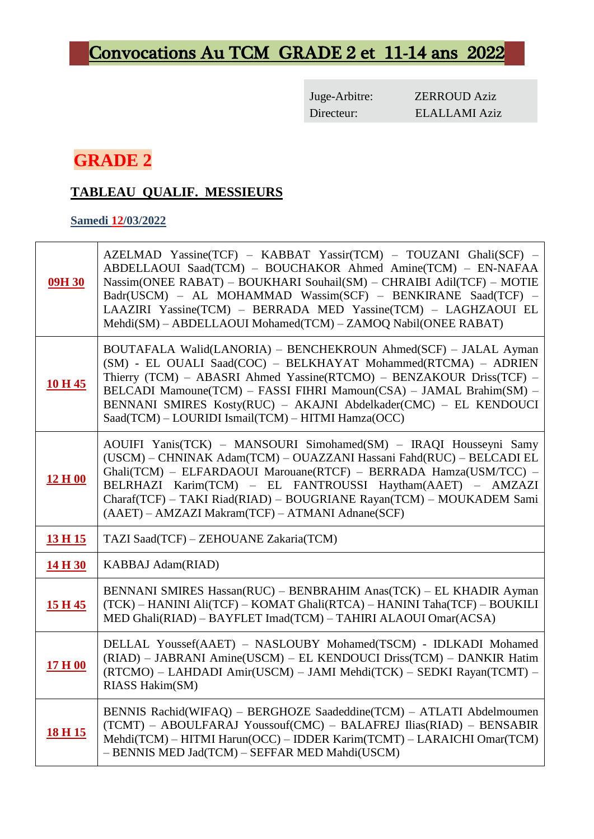# Convocations Au TCM GRADE 2 et 11-14 ans 2022

Juge-Arbitre: ZERROUD Aziz Directeur: ELALLAMI Aziz

# **GRADE 2**

## **TABLEAU QUALIF. MESSIEURS**

#### **Samedi 12/03/2022**

 $\overline{1}$ 

| 09H 30         | AZELMAD Yassine(TCF) - KABBAT Yassir(TCM) - TOUZANI Ghali(SCF) -<br>ABDELLAOUI Saad(TCM) - BOUCHAKOR Ahmed Amine(TCM) - EN-NAFAA<br>Nassim(ONEE RABAT) - BOUKHARI Souhail(SM) - CHRAIBI Adil(TCF) - MOTIE<br>Badr(USCM) - AL MOHAMMAD Wassim(SCF) - BENKIRANE Saad(TCF) -<br>LAAZIRI Yassine(TCM) - BERRADA MED Yassine(TCM) - LAGHZAOUI EL<br>Mehdi(SM) - ABDELLAOUI Mohamed(TCM) - ZAMOQ Nabil(ONEE RABAT) |  |  |
|----------------|--------------------------------------------------------------------------------------------------------------------------------------------------------------------------------------------------------------------------------------------------------------------------------------------------------------------------------------------------------------------------------------------------------------|--|--|
| 10 H 45        | BOUTAFALA Walid(LANORIA) - BENCHEKROUN Ahmed(SCF) - JALAL Ayman<br>(SM) - EL OUALI Saad(COC) - BELKHAYAT Mohammed(RTCMA) - ADRIEN<br>Thierry (TCM) - ABASRI Ahmed Yassine(RTCMO) - BENZAKOUR Driss(TCF) -<br>BELCADI Mamoune(TCM) - FASSI FIHRI Mamoun(CSA) - JAMAL Brahim(SM) -<br>BENNANI SMIRES Kosty(RUC) - AKAJNI Abdelkader(CMC) - EL KENDOUCI<br>Saad(TCM) - LOURIDI Ismail(TCM) - HITMI Hamza(OCC)   |  |  |
| 12 H 00        | AOUIFI Yanis(TCK) - MANSOURI Simohamed(SM) - IRAQI Housseyni Samy<br>(USCM) – CHNINAK Adam(TCM) – OUAZZANI Hassani Fahd(RUC) – BELCADI EL<br>Ghali(TCM) - ELFARDAOUI Marouane(RTCF) - BERRADA Hamza(USM/TCC) -<br>BELRHAZI Karim(TCM) - EL FANTROUSSI Haytham(AAET) - AMZAZI<br>Charaf(TCF) - TAKI Riad(RIAD) - BOUGRIANE Rayan(TCM) - MOUKADEM Sami<br>(AAET) - AMZAZI Makram(TCF) - ATMANI Adnane(SCF)     |  |  |
| <u>13 H 15</u> | TAZI Saad(TCF) - ZEHOUANE Zakaria(TCM)                                                                                                                                                                                                                                                                                                                                                                       |  |  |
| 14 H 30        | KABBAJ Adam(RIAD)                                                                                                                                                                                                                                                                                                                                                                                            |  |  |
|                |                                                                                                                                                                                                                                                                                                                                                                                                              |  |  |
| 15 H 45        | BENNANI SMIRES Hassan(RUC) - BENBRAHIM Anas(TCK) - EL KHADIR Ayman<br>(TCK) - HANINI Ali(TCF) - KOMAT Ghali(RTCA) - HANINI Taha(TCF) - BOUKILI<br>MED Ghali(RIAD) - BAYFLET Imad(TCM) - TAHIRI ALAOUI Omar(ACSA)                                                                                                                                                                                             |  |  |
| 17 H 00        | DELLAL Youssef(AAET) - NASLOUBY Mohamed(TSCM) - IDLKADI Mohamed<br>(RIAD) - JABRANI Amine(USCM) - EL KENDOUCI Driss(TCM) - DANKIR Hatim<br>(RTCMO) - LAHDADI Amir(USCM) - JAMI Mehdi(TCK) - SEDKI Rayan(TCMT) -<br>RIASS Hakim(SM)                                                                                                                                                                           |  |  |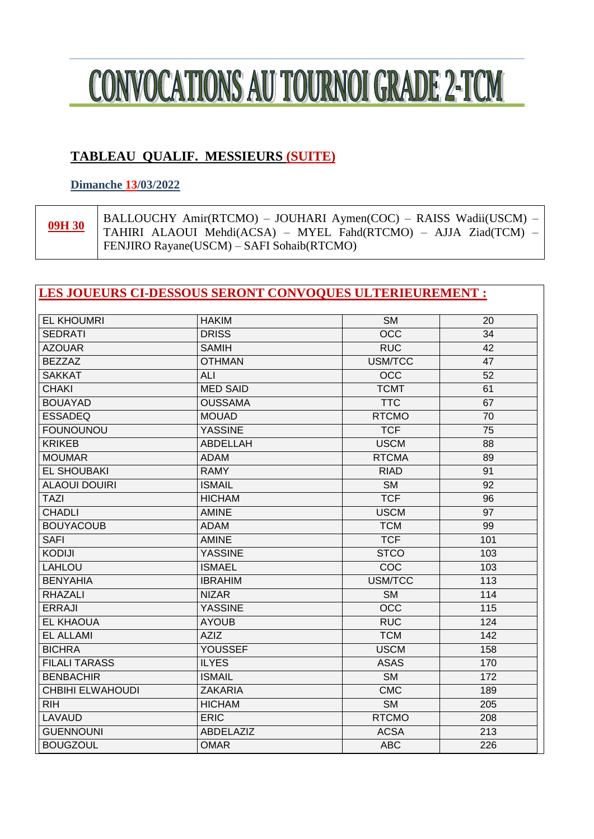

### **TABLEAU QUALIF. MESSIEURS (SUITE)**

#### **Dimanche 13/03/2022**

09H 30

BALLOUCHY Amir(RTCMO) - JOUHARI Aymen(COC) - RAISS Wadii(USCM) -TAHIRI ALAOUI Mehdi(ACSA) - MYEL Fahd(RTCMO) - AJJA Ziad(TCM) -FENJIRO Rayane(USCM) - SAFI Sohaib(RTCMO)

#### **LES JOUEURS CI-DESSOUS SERONT CONVOQUES ULTERIEUREMENT :**

| <b>EL KHOUMRI</b>       | <b>HAKIM</b>    | <b>SM</b>              | 20  |
|-------------------------|-----------------|------------------------|-----|
| <b>SEDRATI</b>          | <b>DRISS</b>    | $\overline{OCC}$       | 34  |
| <b>AZOUAR</b>           | <b>SAMIH</b>    | <b>RUC</b>             | 42  |
| <b>BEZZAZ</b>           | <b>OTHMAN</b>   | USM/TCC                | 47  |
| <b>SAKKAT</b>           | <b>ALI</b>      | <b>OCC</b>             | 52  |
| <b>CHAKI</b>            | <b>MED SAID</b> | <b>TCMT</b>            | 61  |
| <b>BOUAYAD</b>          | <b>OUSSAMA</b>  | <b>TTC</b>             | 67  |
| <b>ESSADEQ</b>          | <b>MOUAD</b>    | <b>RTCMO</b>           | 70  |
| <b>FOUNOUNOU</b>        | <b>YASSINE</b>  | <b>TCF</b>             | 75  |
| <b>KRIKEB</b>           | <b>ABDELLAH</b> | <b>USCM</b>            | 88  |
| <b>MOUMAR</b>           | <b>ADAM</b>     | <b>RTCMA</b>           | 89  |
| <b>EL SHOUBAKI</b>      | <b>RAMY</b>     | <b>RIAD</b>            | 91  |
| <b>ALAOUI DOUIRI</b>    | <b>ISMAIL</b>   | $\overline{\text{SM}}$ | 92  |
| <b>TAZI</b>             | <b>HICHAM</b>   | <b>TCF</b>             | 96  |
| <b>CHADLI</b>           | <b>AMINE</b>    | <b>USCM</b>            | 97  |
| <b>BOUYACOUB</b>        | <b>ADAM</b>     | <b>TCM</b>             | 99  |
| <b>SAFI</b>             | <b>AMINE</b>    | <b>TCF</b>             | 101 |
| <b>KODIJI</b>           | <b>YASSINE</b>  | <b>STCO</b>            | 103 |
| <b>LAHLOU</b>           | <b>ISMAEL</b>   | COC                    | 103 |
| <b>BENYAHIA</b>         | <b>IBRAHIM</b>  | USM/TCC                | 113 |
| <b>RHAZALI</b>          | <b>NIZAR</b>    | <b>SM</b>              | 114 |
| <b>ERRAJI</b>           | <b>YASSINE</b>  | $\overline{OCC}$       | 115 |
| <b>EL KHAOUA</b>        | <b>AYOUB</b>    | <b>RUC</b>             | 124 |
| <b>EL ALLAMI</b>        | <b>AZIZ</b>     | <b>TCM</b>             | 142 |
| <b>BICHRA</b>           | <b>YOUSSEF</b>  | <b>USCM</b>            | 158 |
| <b>FILALI TARASS</b>    | <b>ILYES</b>    | <b>ASAS</b>            | 170 |
| <b>BENBACHIR</b>        | <b>ISMAIL</b>   | $\overline{\text{SM}}$ | 172 |
| <b>CHBIHI ELWAHOUDI</b> | <b>ZAKARIA</b>  | <b>CMC</b>             | 189 |
| <b>RIH</b>              | <b>HICHAM</b>   | <b>SM</b>              | 205 |
| <b>LAVAUD</b>           | <b>ERIC</b>     | <b>RTCMO</b>           | 208 |
| <b>GUENNOUNI</b>        | ABDELAZIZ       | <b>ACSA</b>            | 213 |
| <b>BOUGZOUL</b>         | <b>OMAR</b>     | <b>ABC</b>             | 226 |